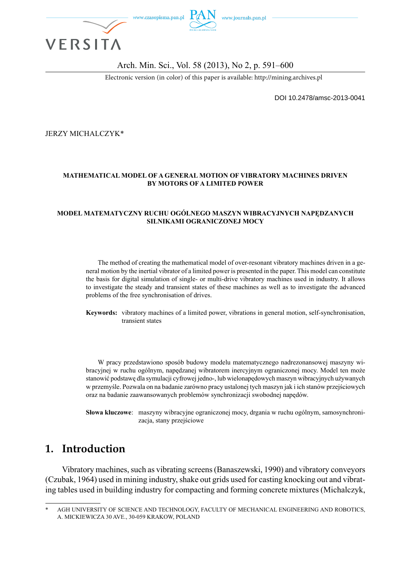

### Arch. Min. Sci., Vol. 58 (2013), No 2, p. 591–600

Electronic version (in color) of this paper is available: http://mining.archives.pl

DOI 10.2478/amsc-2013-0041

JERZY MICHALCZYK\*

### **MATHEMATICAL MODEL OF A GENERAL MOTION OF VIBRATORY MACHINES DRIVEN BY MOTORS OF A LIMITED POWER**

#### **MODEL MATEMATYCZNY RUCHU OGÓLNEGO MASZYN WIBRACYJNYCH NAPĘDZANYCH SILNIKAMI OGRANICZONEJ MOCY**

The method of creating the mathematical model of over-resonant vibratory machines driven in a general motion by the inertial vibrator of a limited power is presented in the paper. This model can constitute the basis for digital simulation of single- or multi-drive vibratory machines used in industry. It allows to investigate the steady and transient states of these machines as well as to investigate the advanced problems of the free synchronisation of drives.

**Keywords:** vibratory machines of a limited power, vibrations in general motion, self-synchronisation, transient states

W pracy przedstawiono sposób budowy modelu matematycznego nadrezonansowej maszyny wibracyjnej w ruchu ogólnym, napędzanej wibratorem inercyjnym ograniczonej mocy. Model ten może stanowić podstawę dla symulacji cyfrowej jedno-, lub wielonapędowych maszyn wibracyjnych używanych w przemyśle. Pozwala on na badanie zarówno pracy ustalonej tych maszyn jak i ich stanów przejściowych oraz na badanie zaawansowanych problemów synchronizacji swobodnej napędów.

**Słowa kluczowe**: maszyny wibracyjne ograniczonej mocy, drgania w ruchu ogólnym, samosynchronizacja, stany przejściowe

# **1. Introduction**

Vibratory machines, such as vibrating screens (Banaszewski, 1990) and vibratory conveyors (Czubak, 1964) used in mining industry, shake out grids used for casting knocking out and vibrating tables used in building industry for compacting and forming concrete mixtures (Michalczyk,

AGH UNIVERSITY OF SCIENCE AND TECHNOLOGY, FACULTY OF MECHANICAL ENGINEERING AND ROBOTICS. A. MICKIEWICZA 30 AVE., 30-059 KRAKOW, POLAND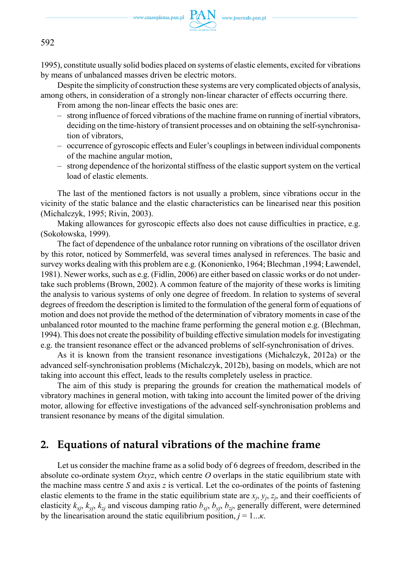

1995), constitute usually solid bodies placed on systems of elastic elements, excited for vibrations by means of unbalanced masses driven be electric motors.

Despite the simplicity of construction these systems are very complicated objects of analysis, among others, in consideration of a strongly non-linear character of effects occurring there.

From among the non-linear effects the basic ones are:

- strong influence of forced vibrations of the machine frame on running of inertial vibrators, deciding on the time-history of transient processes and on obtaining the self-synchronisation of vibrators,
- occurrence of gyroscopic effects and Euler's couplings in between individual components of the machine angular motion,
- strong dependence of the horizontal stiffness of the elastic support system on the vertical load of elastic elements.

The last of the mentioned factors is not usually a problem, since vibrations occur in the vicinity of the static balance and the elastic characteristics can be linearised near this position (Michalczyk, 1995; Rivin, 2003).

Making allowances for gyroscopic effects also does not cause difficulties in practice, e.g. (Sokołowska, 1999).

The fact of dependence of the unbalance rotor running on vibrations of the oscillator driven by this rotor, noticed by Sommerfeld, was several times analysed in references. The basic and survey works dealing with this problem are e.g. (Kononienko, 1964; Blechman ,1994; Ławendel, 1981). Newer works, such as e.g. (Fidlin, 2006) are either based on classic works or do not undertake such problems (Brown, 2002). A common feature of the majority of these works is limiting the analysis to various systems of only one degree of freedom. In relation to systems of several degrees of freedom the description is limited to the formulation of the general form of equations of motion and does not provide the method of the determination of vibratory moments in case of the unbalanced rotor mounted to the machine frame performing the general motion e.g. (Blechman, 1994). This does not create the possibility of building effective simulation models for investigating e.g. the transient resonance effect or the advanced problems of self-synchronisation of drives.

As it is known from the transient resonance investigations (Michalczyk, 2012a) or the advanced self-synchronisation problems (Michalczyk, 2012b), basing on models, which are not taking into account this effect, leads to the results completely useless in practice.

The aim of this study is preparing the grounds for creation the mathematical models of vibratory machines in general motion, with taking into account the limited power of the driving motor, allowing for effective investigations of the advanced self-synchronisation problems and transient resonance by means of the digital simulation.

# **2. Equations of natural vibrations of the machine frame**

Let us consider the machine frame as a solid body of 6 degrees of freedom, described in the absolute co-ordinate system *Oxyz*, which centre *O* overlaps in the static equilibrium state with the machine mass centre *S* and axis *z* is vertical. Let the co-ordinates of the points of fastening elastic elements to the frame in the static equilibrium state are  $x_j$ ,  $y_j$ ,  $z_j$ , and their coefficients of elasticity  $k_{xi}$ ,  $k_{yi}$ ,  $k_{zj}$  and viscous damping ratio  $b_{xi}$ ,  $b_{yi}$ ,  $b_{zj}$ , generally different, were determined by the linearisation around the static equilibrium position,  $j = 1...k$ .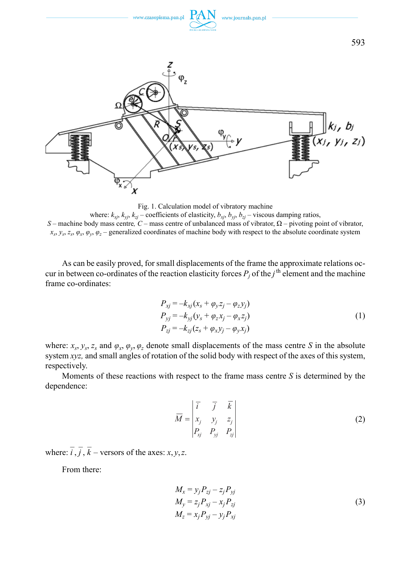



where:  $k_{xy}$ ,  $k_{y}$ ,  $k_{z}$  – coefficients of elasticity,  $b_{xy}$ ,  $b_{y}$ ,  $b_{z}$  – viscous damping ratios, *S* – machine body mass centre*, C* – mass centre of unbalanced mass of vibrator, Ω – pivoting point of vibrator,  $x_s$ ,  $y_s$ ,  $z_s$ ,  $\varphi_x$ ,  $\varphi_y$ ,  $\varphi_z$  – generalized coordinates of machine body with respect to the absolute coordinate system

As can be easily proved, for small displacements of the frame the approximate relations occur in between co-ordinates of the reaction elasticity forces  $P_j$  of the *j*<sup>th</sup> element and the machine frame co-ordinates:

$$
P_{xj} = -k_{xj}(x_s + \varphi_y z_j - \varphi_z y_j)
$$
  
\n
$$
P_{yj} = -k_{yj}(y_s + \varphi_z x_j - \varphi_x z_j)
$$
  
\n
$$
P_{zj} = -k_{zj}(z_s + \varphi_x y_j - \varphi_y x_j)
$$
\n(1)

where:  $x_s$ ,  $y_s$ ,  $z_s$  and  $\varphi_x$ ,  $\varphi_y$ ,  $\varphi_z$  denote small displacements of the mass centre *S* in the absolute system *xyz,* and small angles of rotation of the solid body with respect of the axes of this system, respectively.

Moments of these reactions with respect to the frame mass centre *S* is determined by the dependence:

$$
\overline{M} = \begin{vmatrix} \overline{i} & \overline{j} & \overline{k} \\ x_j & y_j & z_j \\ P_{xj} & P_{yj} & P_{zj} \end{vmatrix}
$$
 (2)

where:  $\overline{i}$ ,  $\overline{j}$ ,  $\overline{k}$  – versors of the axes: *x*, *y*, *z*.

From there:

$$
M_x = y_j P_{zj} - z_j P_{yj}
$$
  
\n
$$
M_y = z_j P_{xj} - x_j P_{zj}
$$
  
\n
$$
M_z = x_j P_{yj} - y_j P_{xj}
$$
\n(3)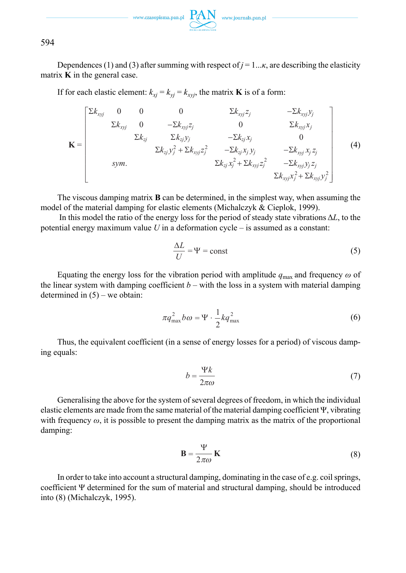

Dependences (1) and (3) after summing with respect of  $j = 1... \kappa$ , are describing the elasticity matrix **K** in the general case.

If for each elastic element:  $k_{xi} = k_{yi} = k_{xvj}$ , the matrix **K** is of a form:

$$
\mathbf{K} = \begin{bmatrix} \sum k_{xyj} & 0 & 0 & 0 & \sum k_{xyj} z_j & -\sum k_{xyj} y_j \\ \sum k_{xyj} & 0 & -\sum k_{xyj} z_j & 0 & \sum k_{xyj} x_j \\ \sum k_{zj} & \sum k_{zj} y_j & -\sum k_{zj} x_j & 0 \\ \sum k_{zj} y_j^2 + \sum k_{xyj} z_j^2 & -\sum k_{zj} x_j y_j & -\sum k_{xyj} x_j z_j \\ \text{sym.} & \sum k_{zj} x_j^2 + \sum k_{xyj} z_j^2 & -\sum k_{xyj} y_j z_j \\ \sum k_{xyj} x_j^2 + \sum k_{xyj} y_j^2 & \sum k_{xyj} y_j^2 \end{bmatrix}
$$
 (4)

The viscous damping matrix **B** can be determined, in the simplest way, when assuming the model of the material damping for elastic elements (Michalczyk & Cieplok, 1999).

 In this model the ratio of the energy loss for the period of steady state vibrations Δ*L*, to the potential energy maximum value *U* in a deformation cycle – is assumed as a constant:

$$
\frac{\Delta L}{U} = \Psi = \text{const}
$$
 (5)

Equating the energy loss for the vibration period with amplitude  $q_{\text{max}}$  and frequency  $\omega$  of the linear system with damping coefficient  $b$  – with the loss in a system with material damping determined in  $(5)$  – we obtain:

$$
\pi q_{\text{max}}^2 b \omega = \Psi \cdot \frac{1}{2} k q_{\text{max}}^2 \tag{6}
$$

Thus, the equivalent coefficient (in a sense of energy losses for a period) of viscous damping equals:

$$
b = \frac{\Psi k}{2\pi\omega} \tag{7}
$$

Generalising the above for the system of several degrees of freedom, in which the individual elastic elements are made from the same material of the material damping coefficient Ψ, vibrating with frequency *ω*, it is possible to present the damping matrix as the matrix of the proportional damping:

$$
\mathbf{B} = \frac{\Psi}{2\pi\omega}\,\mathbf{K} \tag{8}
$$

In order to take into account a structural damping, dominating in the case of e.g. coil springs, coefficient Ψ determined for the sum of material and structural damping, should be introduced into (8) (Michalczyk, 1995).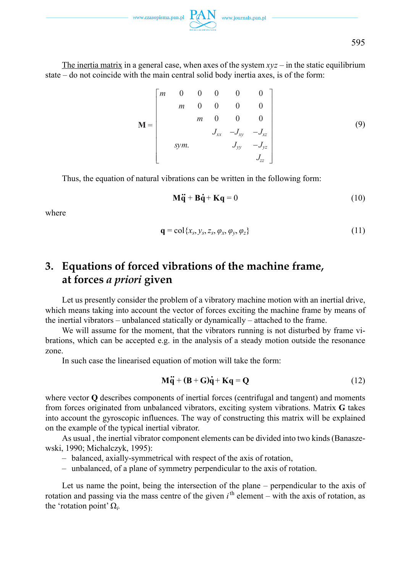

The inertia matrix in a general case, when axes of the system  $xyz -$  in the static equilibrium state – do not coincide with the main central solid body inertia axes, is of the form:

$$
\mathbf{M} = \begin{bmatrix} m & 0 & 0 & 0 & 0 & 0 \\ m & 0 & 0 & 0 & 0 \\ m & 0 & 0 & 0 & 0 \\ J_{xx} & -J_{xy} & -J_{xz} \\ sym. & J_{yy} & -J_{yz} \\ J_{zz} & J_{zz} \end{bmatrix}
$$
(9)

Thus, the equation of natural vibrations can be written in the following form:

$$
\mathbf{M}\ddot{\mathbf{q}} + \mathbf{B}\dot{\mathbf{q}} + \mathbf{K}\mathbf{q} = 0 \tag{10}
$$

where

$$
\mathbf{q} = \text{col}\{x_s, y_s, z_s, \varphi_x, \varphi_y, \varphi_z\} \tag{11}
$$

# **3. Equations of forced vibrations of the machine frame, at forces** *a priori* **given**

Let us presently consider the problem of a vibratory machine motion with an inertial drive, which means taking into account the vector of forces exciting the machine frame by means of the inertial vibrators – unbalanced statically or dynamically – attached to the frame.

We will assume for the moment, that the vibrators running is not disturbed by frame vibrations, which can be accepted e.g. in the analysis of a steady motion outside the resonance zone.

In such case the linearised equation of motion will take the form:

$$
M\ddot{q} + (B + G)\dot{q} + Kq = Q \qquad (12)
$$

where vector **Q** describes components of inertial forces (centrifugal and tangent) and moments from forces originated from unbalanced vibrators, exciting system vibrations. Matrix **G** takes into account the gyroscopic influences. The way of constructing this matrix will be explained on the example of the typical inertial vibrator.

As usual , the inertial vibrator component elements can be divided into two kinds (Banaszewski, 1990; Michalczyk, 1995):

- balanced, axially-symmetrical with respect of the axis of rotation,
- unbalanced, of a plane of symmetry perpendicular to the axis of rotation.

Let us name the point, being the intersection of the plane – perpendicular to the axis of rotation and passing via the mass centre of the given  $i<sup>th</sup>$  element – with the axis of rotation, as the 'rotation point'  $\Omega_i$ .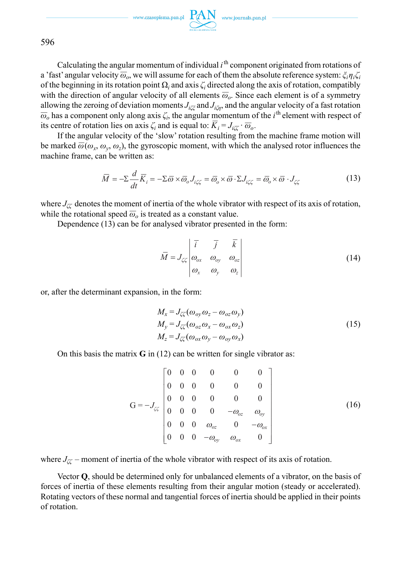www.czasopisma.pan.pl  $PAN$  www.journals.pan.pl

596

Calculating the angular momentum of individual  $i<sup>th</sup>$  component originated from rotations of  $\alpha$  'fast' angular velocity  $\overline{\omega}_o$ , we will assume for each of them the absolute reference system:  $\zeta_i \eta_i \zeta_i$ of the beginning in its rotation point  $\Omega_i$  and axis  $\zeta_i$  directed along the axis of rotation, compatibly with the direction of angular velocity of all elements  $\overline{\omega}_o$ . Since each element is of a symmetry allowing the zeroing of deviation moments *Jiζξ* and *Jiζη*, and the angular velocity of a fast rotation anowing the zeroing of deviation moments  $J_{i\zeta\zeta}$  and  $J_{i\zeta\eta}$ , and the angular velocity of a fast foldton  $\overline{\omega}_o$  has a component only along axis  $\zeta_i$ , the angular momentum of the *i*<sup>th</sup> element with respect  $\omega_o$  has a component only along axis  $\zeta_i$ , the angular momentum of its centre of rotation lies on axis  $\zeta_i$  and is equal to:  $\overline{K}_i = J_{i\zeta\zeta} \cdot \overline{\omega}_o$ .

If the angular velocity of the 'slow' rotation resulting from the machine frame motion will be marked  $\overline{\omega}(\omega_x, \omega_y, \omega_z)$ , the gyroscopic moment, with which the analysed rotor influences the machine frame, can be written as:

$$
\overline{M} = -\Sigma \frac{d}{dt} \overline{K}_i = -\Sigma \overline{\omega} \times \overline{\omega}_o J_{i\zeta\zeta} = \overline{\omega}_o \times \overline{\omega} \cdot \Sigma J_{i\zeta\zeta} = \overline{\omega}_o \times \overline{\omega} \cdot J_{\zeta\zeta}
$$
(13)

where  $J_{\ell\ell}$  denotes the moment of inertia of the whole vibrator with respect of its axis of rotation, where  $J_{\zeta\zeta}$  denotes the moment of mertia of the whole vibrate while the rotational speed  $\overline{\omega}_o$  is treated as a constant value.

Dependence (13) can be for analysed vibrator presented in the form:

$$
\overline{M} = J_{\zeta\zeta} \begin{vmatrix} \overline{i} & \overline{j} & \overline{k} \\ \omega_{ox} & \omega_{oy} & \omega_{oz} \\ \omega_x & \omega_y & \omega_z \end{vmatrix}
$$
 (14)

or, after the determinant expansion, in the form:

$$
M_x = J_{\zeta\zeta}(\omega_{oy}\omega_z - \omega_{oz}\omega_y)
$$
  
\n
$$
M_y = J_{\zeta\zeta}(\omega_{oz}\omega_x - \omega_{ox}\omega_z)
$$
  
\n
$$
M_z = J_{\zeta\zeta}(\omega_{ox}\omega_y - \omega_{oy}\omega_x)
$$
\n(15)

On this basis the matrix **G** in (12) can be written for single vibrator as:

$$
G = -J_{\zeta\zeta} \begin{bmatrix} 0 & 0 & 0 & 0 & 0 & 0 \\ 0 & 0 & 0 & 0 & 0 & 0 \\ 0 & 0 & 0 & 0 & 0 & 0 \\ 0 & 0 & 0 & 0 & -\omega_{oz} & \omega_{oy} \\ 0 & 0 & 0 & \omega_{oz} & 0 & -\omega_{ox} \\ 0 & 0 & 0 & -\omega_{oy} & \omega_{ox} & 0 \end{bmatrix}
$$
(16)

where  $J_{\mathcal{K}}$  – moment of inertia of the whole vibrator with respect of its axis of rotation.

Vector **Q**, should be determined only for unbalanced elements of a vibrator, on the basis of forces of inertia of these elements resulting from their angular motion (steady or accelerated). Rotating vectors of these normal and tangential forces of inertia should be applied in their points of rotation.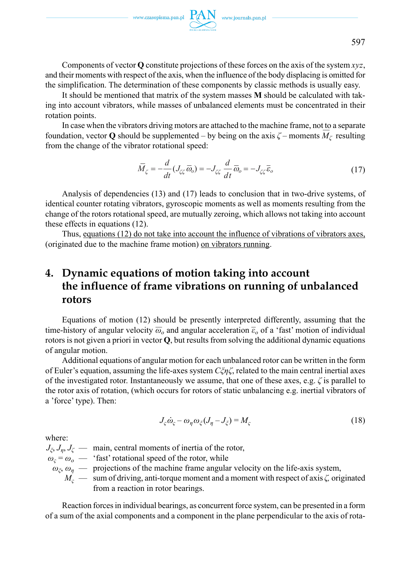

Components of vector **Q** constitute projections of these forces on the axis of the system *xyz*, and their moments with respect of the axis, when the influence of the body displacing is omitted for the simplification. The determination of these components by classic methods is usually easy.

It should be mentioned that matrix of the system masses **M** should be calculated with taking into account vibrators, while masses of unbalanced elements must be concentrated in their rotation points.

In case when the vibrators driving motors are attached to the machine frame, not to a separate foundation, vector **Q** should be supplemented – by being on the axis  $\zeta$  – moments  $M_{\zeta}$  resulting from the change of the vibrator rotational speed:

$$
\overline{M}_{\zeta} = -\frac{d}{dt}(J_{\zeta\zeta}\,\overline{\omega}_o) = -J_{\zeta\zeta}\,\frac{d}{dt}\,\overline{\omega}_o = -J_{\zeta\zeta}\,\overline{\varepsilon}_o\tag{17}
$$

Analysis of dependencies (13) and (17) leads to conclusion that in two-drive systems, of identical counter rotating vibrators, gyroscopic moments as well as moments resulting from the change of the rotors rotational speed, are mutually zeroing, which allows not taking into account these effects in equations (12).

Thus, equations (12) do not take into account the influence of vibrations of vibrators axes, (originated due to the machine frame motion) on vibrators running.

# **4. Dynamic equations of motion taking into account the influence of frame vibrations on running of unbalanced rotors**

Equations of motion (12) should be presently interpreted differently, assuming that the time-history of angular velocity  $\overline{\omega}_o$  and angular acceleration  $\overline{\epsilon}_o$  of a 'fast' motion of individual rotors is not given a priori in vector **Q**, but results from solving the additional dynamic equations of angular motion.

Additional equations of angular motion for each unbalanced rotor can be written in the form of Euler's equation, assuming the life-axes system *Cξηζ*, related to the main central inertial axes of the investigated rotor. Instantaneously we assume, that one of these axes, e.g. *ζ* is parallel to the rotor axis of rotation, (which occurs for rotors of static unbalancing e.g. inertial vibrators of a 'force' type). Then:

$$
J_{\varsigma}\dot{\omega}_{\varsigma} - \omega_{\eta}\omega_{\xi}(J_{\eta} - J_{\xi}) = M_{\varsigma}
$$
 (18)

where:

 $J_{\xi}$ ,  $J_{\eta}$ ,  $J_{\zeta}$  — main, central moments of inertia of the rotor,  $\omega_c = \omega_o$  — 'fast' rotational speed of the rotor, while  $\omega_{\zeta}$ ,  $\omega_n$  — projections of the machine frame angular velocity on the life-axis system, *Mς* — sum of driving, anti-torque moment and a moment with respect of axis *ζ,* originated from a reaction in rotor bearings.

Reaction forces in individual bearings, as concurrent force system, can be presented in a form of a sum of the axial components and a component in the plane perpendicular to the axis of rota-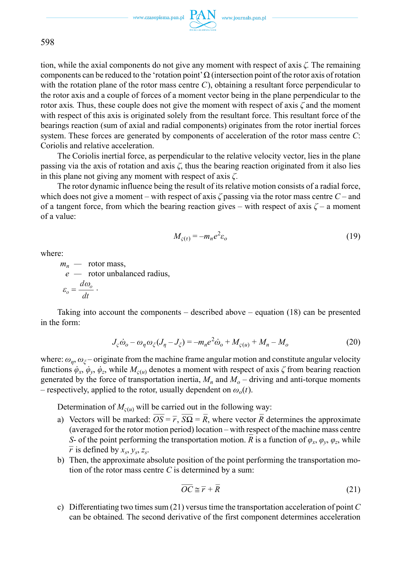$\begin{picture}(120,110) \put(0,0){\vector(1,0){100}} \put(15,0){\vector(1,0){100}} \put(15,0){\vector(1,0){100}} \put(15,0){\vector(1,0){100}} \put(15,0){\vector(1,0){100}} \put(15,0){\vector(1,0){100}} \put(15,0){\vector(1,0){100}} \put(15,0){\vector(1,0){100}} \put(15,0){\vector(1,0){100}} \put(15,0){\vector(1,0){100}} \put(15,0){\vector(1,0){100$ 

598

tion, while the axial components do not give any moment with respect of axis *ζ.* The remaining components can be reduced to the 'rotation point'  $\Omega$  (intersection point of the rotor axis of rotation with the rotation plane of the rotor mass centre *C*), obtaining a resultant force perpendicular to the rotor axis and a couple of forces of a moment vector being in the plane perpendicular to the rotor axis*.* Thus, these couple does not give the moment with respect of axis *ζ* and the moment with respect of this axis is originated solely from the resultant force. This resultant force of the bearings reaction (sum of axial and radial components) originates from the rotor inertial forces system. These forces are generated by components of acceleration of the rotor mass centre *C*: Coriolis and relative acceleration.

The Coriolis inertial force, as perpendicular to the relative velocity vector, lies in the plane passing via the axis of rotation and axis *ζ*, thus the bearing reaction originated from it also lies in this plane not giving any moment with respect of axis *ζ.*

The rotor dynamic influence being the result of its relative motion consists of a radial force, which does not give a moment – with respect of axis *ζ* passing via the rotor mass centre *C* – and of a tangent force, from which the bearing reaction gives – with respect of axis  $\zeta$  – a moment of a value:

$$
M_{\varsigma(\tau)} = -m_n e^2 \varepsilon_o \tag{19}
$$

where:

 $m_n$  — rotor mass, *e —* rotor unbalanced radius,  $\omega_o = \frac{a\omega_o}{l}$ *d dt*  $\varepsilon_o = \frac{a\omega_o}{l} \; .$ 

Taking into account the components – described above – equation (18) can be presented in the form:

$$
J_{\varsigma}\dot{\omega}_o - \omega_\eta \omega_{\xi}(J_\eta - J_{\xi}) = -m_n e^2 \dot{\omega}_o + M_{\varsigma(u)} + M_n - M_o \tag{20}
$$

where:  $\omega_{\eta}$ ,  $\omega_{\xi}$  – originate from the machine frame angular motion and constitute angular velocity functions  $\dot{\varphi}_x$ ,  $\dot{\varphi}_y$ ,  $\dot{\varphi}_z$ , while  $M_{\varsigma(u)}$  denotes a moment with respect of axis  $\zeta$  from bearing reaction generated by the force of transportation inertia,  $M_n$  and  $M_o$  – driving and anti-torque moments – respectively, applied to the rotor, usually dependent on  $\omega_o(t)$ .

Determination of  $M_{c(u)}$  will be carried out in the following way:

- a) Vectors will be marked:  $\overline{OS} = \overline{r}$ ,  $\overline{SQ} = \overline{R}$ , where vector  $\overline{R}$  determines the approximate (averaged for the rotor motion period) location – with respect of the machine mass centre *S*- of the point performing the transportation motion.  $\overline{R}$  is a function of  $\varphi_x$ ,  $\varphi_y$ ,  $\varphi_z$ , while  $\overline{r}$  is defined by  $x_s$ ,  $y_s$ ,  $z_s$ .
- b) Then, the approximate absolute position of the point performing the transportation motion of the rotor mass centre *C* is determined by a sum:

$$
\overline{OC} \cong \overline{r} + \overline{R} \tag{21}
$$

c) Differentiating two times sum (21) versus time the transportation acceleration of point *C*  can be obtained*.* The second derivative of the first component determines acceleration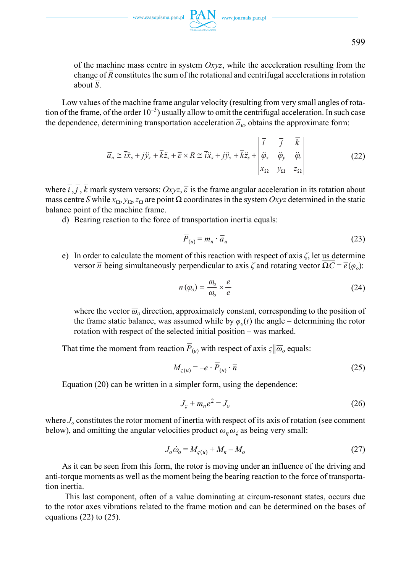of the machine mass centre in system *Oxyz*, while the acceleration resulting from the change of  $\overline{R}$  constitutes the sum of the rotational and centrifugal accelerations in rotation change of  $\overline{R}$  constitutes the sum of the rotational and centrifugal accelerations in rotation  $\frac{\text{change}}{\text{about }S}$ .

Low values of the machine frame angular velocity (resulting from very small angles of rotation of the frame, of the order  $10^{-3}$ ) usually allow to omit the centrifugal acceleration. In such case the dependence, determining transportation acceleration  $\overline{a}_{u}$ , obtains the approximate form:

$$
\overline{a}_{u} \cong \overline{i}\ddot{x}_{s} + \overline{j}\ddot{y}_{s} + \overline{k}\ddot{z}_{s} + \overline{\varepsilon} \times \overline{R} \cong \overline{i}\ddot{x}_{s} + \overline{j}\ddot{y}_{s} + \overline{k}\ddot{z}_{s} + \begin{vmatrix} \overline{i} & \overline{j} & \overline{k} \\ \ddot{\varphi}_{x} & \ddot{\varphi}_{y} & \ddot{\varphi}_{z} \\ x_{\Omega} & y_{\Omega} & z_{\Omega} \end{vmatrix}
$$
\n
$$
(22)
$$

where  $\vec{i}, \vec{j}, \vec{k}$  mark system versors: *Oxyz*,  $\vec{\epsilon}$  is the frame angular acceleration in its rotation about mass centre *S* while  $x_0$ ,  $y_0$ ,  $z_0$  are point  $\Omega$  coordinates in the system *Oxyz* determined in the static balance point of the machine frame.

d) Bearing reaction to the force of transportation inertia equals:

$$
\overline{P}_{(u)} = m_n \cdot \overline{a}_u \tag{23}
$$

e) In order to calculate the moment of this reaction with respect of axis *ζ*, let us determine In order to calculate the moment of this reaction with respect of axis  $\zeta$ , let us determine versor  $\overline{n}$  being simultaneously perpendicular to axis  $\zeta$  and rotating vector  $\overline{\Omega C} = \overline{e}(\varphi_o)$ :

$$
\overline{n}(\varphi_o) = \frac{\overline{\omega}_o}{\omega_o} \times \frac{\overline{e}}{e}
$$
 (24)

where the vector  $\overline{\omega}_o$  direction, approximately constant, corresponding to the position of the frame static balance, was assumed while by  $\varphi_o(t)$  the angle – determining the rotor rotation with respect of the selected initial position – was marked.

That time the moment from reaction  $\overline{P}_{(u)}$  with respect of axis  $\varsigma || \overline{\omega}_o$  equals:

$$
M_{\varsigma(u)} = -e \cdot \overline{P}_{(u)} \cdot \overline{n}
$$
 (25)

Equation (20) can be written in a simpler form, using the dependence:

$$
Js + mne2 = Jo
$$
 (26)

where  $J<sub>o</sub>$  constitutes the rotor moment of inertia with respect of its axis of rotation (see comment below), and omitting the angular velocities product  $\omega_n \omega_{\zeta}$  as being very small:

$$
J_o \dot{\omega}_o = M_{\varsigma(u)} + M_n - M_o \tag{27}
$$

As it can be seen from this form, the rotor is moving under an influence of the driving and anti-torque moments as well as the moment being the bearing reaction to the force of transportation inertia.

 This last component, often of a value dominating at circum-resonant states, occurs due to the rotor axes vibrations related to the frame motion and can be determined on the bases of equations  $(22)$  to  $(25)$ .